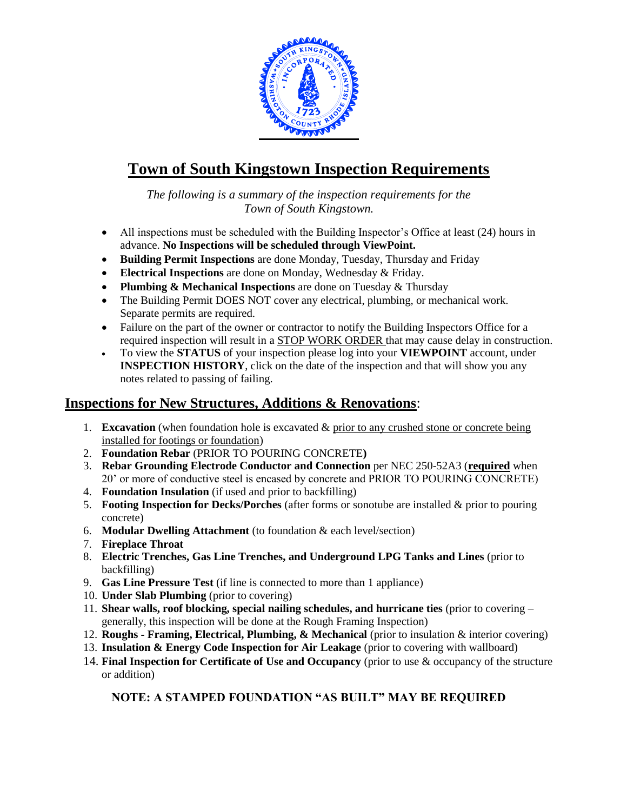

## **Town of South Kingstown Inspection Requirements**

*The following is a summary of the inspection requirements for the Town of South Kingstown.*

- All inspections must be scheduled with the Building Inspector's Office at least (24) hours in advance. **No Inspections will be scheduled through ViewPoint.**
- **Building Permit Inspections** are done Monday, Tuesday, Thursday and Friday
- **Electrical Inspections** are done on Monday, Wednesday & Friday.
- **Plumbing & Mechanical Inspections** are done on Tuesday & Thursday
- The Building Permit DOES NOT cover any electrical, plumbing, or mechanical work. Separate permits are required.
- Failure on the part of the owner or contractor to notify the Building Inspectors Office for a required inspection will result in a STOP WORK ORDER that may cause delay in construction.
- To view the **STATUS** of your inspection please log into your **VIEWPOINT** account, under **INSPECTION HISTORY**, click on the date of the inspection and that will show you any notes related to passing of failing.

## **Inspections for New Structures, Additions & Renovations**:

- 1. **Excavation** (when foundation hole is excavated  $\&$  prior to any crushed stone or concrete being installed for footings or foundation)
- 2. **Foundation Rebar** (PRIOR TO POURING CONCRETE**)**
- 3. **Rebar Grounding Electrode Conductor and Connection** per NEC 250-52A3 (**required** when 20' or more of conductive steel is encased by concrete and PRIOR TO POURING CONCRETE)
- 4. **Foundation Insulation** (if used and prior to backfilling)
- 5. **Footing Inspection for Decks/Porches** (after forms or sonotube are installed & prior to pouring concrete)
- 6. **Modular Dwelling Attachment** (to foundation & each level/section)
- 7. **Fireplace Throat**
- 8. **Electric Trenches, Gas Line Trenches, and Underground LPG Tanks and Lines** (prior to backfilling)
- 9. **Gas Line Pressure Test** (if line is connected to more than 1 appliance)
- 10. **Under Slab Plumbing** (prior to covering)
- 11. **Shear walls, roof blocking, special nailing schedules, and hurricane ties** (prior to covering generally, this inspection will be done at the Rough Framing Inspection)
- 12. **Roughs - Framing, Electrical, Plumbing, & Mechanical** (prior to insulation & interior covering)
- 13. **Insulation & Energy Code Inspection for Air Leakage** (prior to covering with wallboard)
- 14. **Final Inspection for Certificate of Use and Occupancy** (prior to use & occupancy of the structure or addition)

## **NOTE: A STAMPED FOUNDATION "AS BUILT" MAY BE REQUIRED**